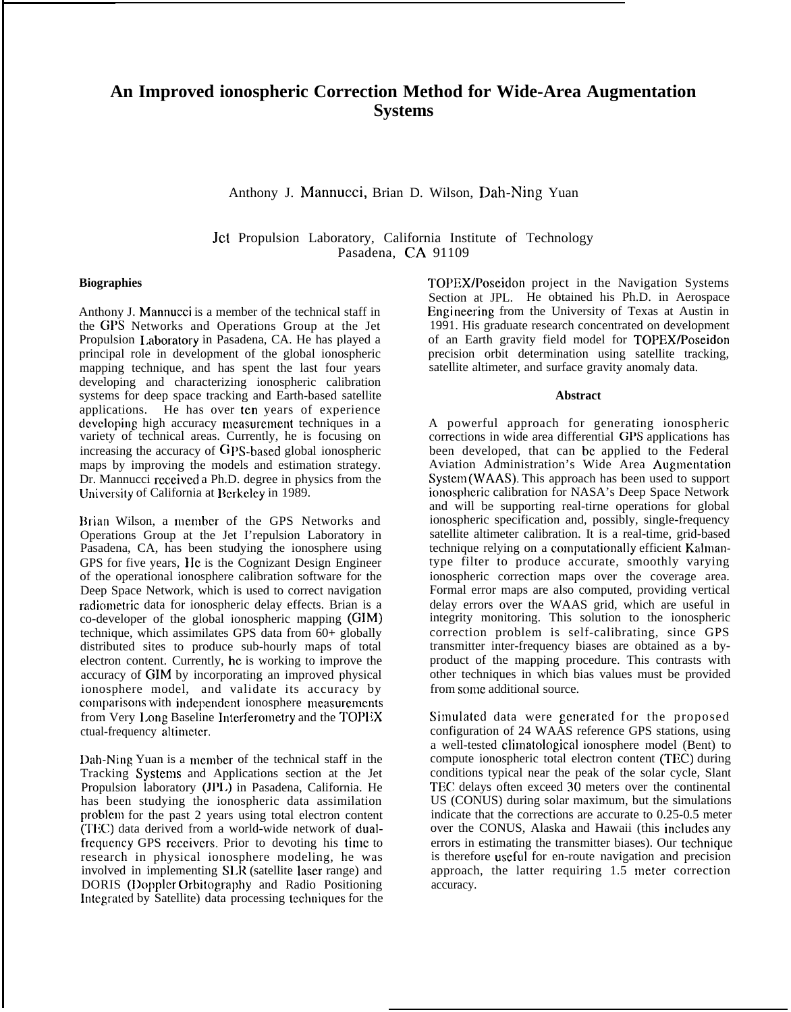# **An Improved ionospheric Correction Method for Wide-Area Augmentation Systems**

Anthony J. Mannucci, Brian D. Wilson, Dah-Ning Yuan

Jct Propulsion Laboratory, California Institute of Technology Pasadena, CA 91109

## **Biographies**

Anthony J. Mannucci is a member of the technical staff in the GPS Networks and Operations Group at the Jet Propulsion I.aboratory in Pasadena, CA. He has played a principal role in development of the global ionospheric mapping technique, and has spent the last four years developing and characterizing ionospheric calibration systems for deep space tracking and Earth-based satellite applications. He has over tcn years of experience developing high accuracy measurement techniques in a variety of technical areas. Currently, he is focusing on increasing the accuracy of GPS-based global ionospheric maps by improving the models and estimation strategy. Dr. Mannucci received a Ph.D. degree in physics from the University of California at Berkeley in 1989.

Brian Wilson, a member of the GPS Networks and Operations Group at the Jet I'repulsion Laboratory in Pasadena, CA, has been studying the ionosphere using GPS for five years, IIc is the Cognizant Design Engineer of the operational ionosphere calibration software for the Deep Space Network, which is used to correct navigation radiometric data for ionospheric delay effects. Brian is a co-developer of the global ionospheric mapping (GIM) technique, which assimilates GPS data from 60+ globally distributed sites to produce sub-hourly maps of total electron content. Currently, hc is working to improve the accuracy of GIM by incorporating an improved physical ionosphere model, and validate its accuracy by comparisons with independent ionosphere measurements from Very Long Baseline Interferometry and the TOPEX ctual-frequency altimeter.

Dah-Ning Yuan is a member of the technical staff in the Tracking Systems and Applications section at the Jet Propulsion laboratory (JP1.) in Pasadena, California. He has been studying the ionospheric data assimilation problcm for the past 2 years using total electron content (TI{C) data derived from a world-wide network of dualfrequency GPS receivers. Prior to devoting his time to research in physical ionosphere modeling, he was involved in implementing SLR (satellite laser range) and DORIS (I)opplcr Orbitography and Radio Positioning Integrated by Satellite) data processing techniques for the TOPEX/Poseidon project in the Navigation Systems Section at JPL. He obtained his Ph.D. in Aerospace Engineering from the University of Texas at Austin in 1991. His graduate research concentrated on development of an Earth gravity field model for TOPEX/Poseidon precision orbit determination using satellite tracking, satellite altimeter, and surface gravity anomaly data.

#### **Abstract**

A powerful approach for generating ionospheric corrections in wide area differential GPS applications has been developed, that can bc applied to the Federal Aviation Administration's Wide Area Augmentation Systcm (WAAS). This approach has been used to support ionospbcric calibration for NASA's Deep Space Network and will be supporting real-tirne operations for global ionospheric specification and, possibly, single-frequency satellite altimeter calibration. It is a real-time, grid-based technique relying on a computationally efficient Kalmantype filter to produce accurate, smoothly varying ionospheric correction maps over the coverage area. Formal error maps are also computed, providing vertical delay errors over the WAAS grid, which are useful in integrity monitoring. This solution to the ionospheric correction problem is self-calibrating, since GPS transmitter inter-frequency biases are obtained as a byproduct of the mapping procedure. This contrasts with other techniques in which bias values must be provided from some additional source.

Simulated data were generated for the proposed configuration of 24 WAAS reference GPS stations, using a well-tested clirnatological ionosphere model (Bent) to compute ionospheric total electron content (TEC) during conditions typical near the peak of the solar cycle, Slant TEC delays often exceed 30 meters over the continental US (CONUS) during solar maximum, but the simulations indicate that the corrections are accurate to 0.25-0.5 meter over the CONUS, Alaska and Hawaii (this includes any errors in estimating the transmitter biases). Our technique is therefore useful for en-route navigation and precision approach, the latter requiring  $1.5$  meter correction accuracy.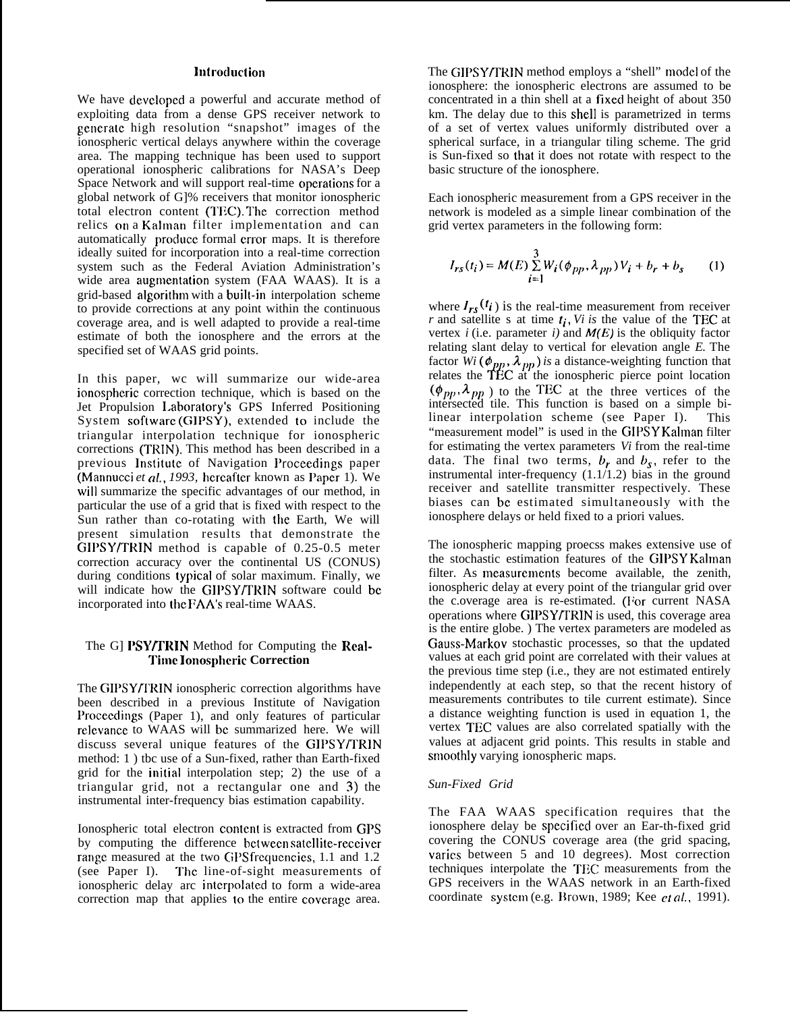# **lntrocluction**

We have developed a powerful and accurate method of exploiting data from a dense GPS receiver network to generate high resolution "snapshot" images of the ionospheric vertical delays anywhere within the coverage area. The mapping technique has been used to support operational ionospheric calibrations for NASA's Deep Space Network and will support real-time operations for a global network of G]% receivers that monitor ionospheric total electron content (TEC). The correction method relics on a Kalman filter implementation and can automatically produce formal error maps. It is therefore ideally suited for incorporation into a real-time correction system such as the Federal Aviation Administration's wide area augmentation system (FAA WAAS). It is a grid-based aigorithm with a built-in interpolation scheme to provide corrections at any point within the continuous coverage area, and is well adapted to provide a real-time estimate of both the ionosphere and the errors at the specified set of WAAS grid points.

In this paper, wc will summarize our wide-area ionospbcric correction technique, which is based on the Jet Propulsion I.aboratory's GPS Inferred Positioning System software (GIPSY), extended to include the triangular interpolation technique for ionospheric corrections (TRIN). This method has been described in a previous Institute of Navigation Proceedings paper (Mannucci et al., 1993, hereafter known as Paper 1). We will summarize the specific advantages of our method, in particular the use of a grid that is fixed with respect to the Sun rather than co-rotating with the Earth, We will present simulation results that demonstrate the GIPSY/TRIN method is capable of 0.25-0.5 meter correction accuracy over the continental US (CONUS) during conditions typicai of solar maximum. Finally, we will indicate how the GIPSY/TRIN software could be incorporated into the FAA's real-time WAAS.

## The G] PSY/TRIN Method for Computing the **Rcal-Timc ]onosphcric Correction**

The GIPSY/TRIN ionospheric correction algorithms have been described in a previous Institute of Navigation Proceedings (Paper 1), and only features of particular relevance to WAAS will be summarized here. We will discuss several unique features of the GIPSY/TRIN method: 1 ) tbc use of a Sun-fixed, rather than Earth-fixed grid for the initiai interpolation step; 2) the use of a triangular grid, not a rectangular one and 3) the instrumental inter-frequency bias estimation capability.

Ionospheric total electron content is extracted from GPS by computing the difference between satellite-receiver range measured at the two GPS frequencies, 1.1 and 1.2 (see Paper I). The line-of-sight measurements of ionospheric delay arc interpolated to form a wide-area correction map that applies to the entire covcragc area.

The GIPSY/TRIN method employs a "shell" model of the ionosphere: the ionospheric electrons are assumed to be concentrated in a thin shell at a fixed height of about 350 km. The delay due to this shell is parametrized in terms of a set of vertex values uniformly distributed over a spherical surface, in a triangular tiling scheme. The grid is Sun-fixed so that it does not rotate with respect to the basic structure of the ionosphere.

Each ionospheric measurement from a GPS receiver in the network is modeled as a simple linear combination of the grid vertex parameters in the following form:

$$
I_{rs}(t_i) = M(E) \sum_{i=1}^{3} W_i(\phi_{pp}, \lambda_{pp}) V_i + b_r + b_s \qquad (1)
$$

where  $I_{rs}(t_i)$  is the real-time measurement from receiver  $r$  and satellite s at time  $t_i$ , *Vi is* the value of the TEC at vertex  $i$  (i.e. parameter  $i$ ) and  $M(E)$  is the obliquity factor relating slant delay to vertical for elevation angle *E.* The factor *Wi* ( $\phi_{pp}$ ,  $\lambda_{pp}$ ) *is* a distance-weighting function that relates the **TEC** at the ionospheric pierce point location  $(\phi_{pp}, \lambda_{pp})$  to the TEC at the three vertices of the intersected tile. This function is based on a simple bilinear interpolation scheme (see Paper I). This "measurement model" is used in the GIPSY Kalman filter for estimating the vertex parameters *Vi* from the real-time data. The final two terms,  $b_r$  and  $b_s$ , refer to the instrumental inter-frequency (1.1/1.2) bias in the ground receiver and satellite transmitter respectively. These biases can bc estimated simultaneously with the ionosphere delays or held fixed to a priori values.

The ionospheric mapping proecss makes extensive use of the stochastic estimation features of the GIPSY Kalman filter. As measurements become available, the zenith, ionospheric delay at every point of the triangular grid over the c.overage area is re-estimated. (For current NASA operations where GIPSY/TRIN is used, this coverage area is the entire globe. ) The vertex parameters are modeled as Gauss-Markov stochastic processes, so that the updated values at each grid point are correlated with their values at the previous time step (i.e., they are not estimated entirely independently at each step, so that the recent history of measurements contributes to tile current estimate). Since a distance weighting function is used in equation 1, the vertex TEC values are also correlated spatially with the values at adjacent grid points. This results in stable and smoothiy varying ionospheric maps.

## *Sun-Fixed Grid*

The FAA WAAS specification requires that the ionosphere delay be spccificd over an Ear-th-fixed grid covering the CONUS coverage area (the grid spacing, varies between 5 and 10 degrees). Most correction techniques interpolate the TEC measurements from the GPS receivers in the WAAS network in an Earth-fixed coordinate system (e.g. Brown, 1989; Kee  $et al., 1991$ ).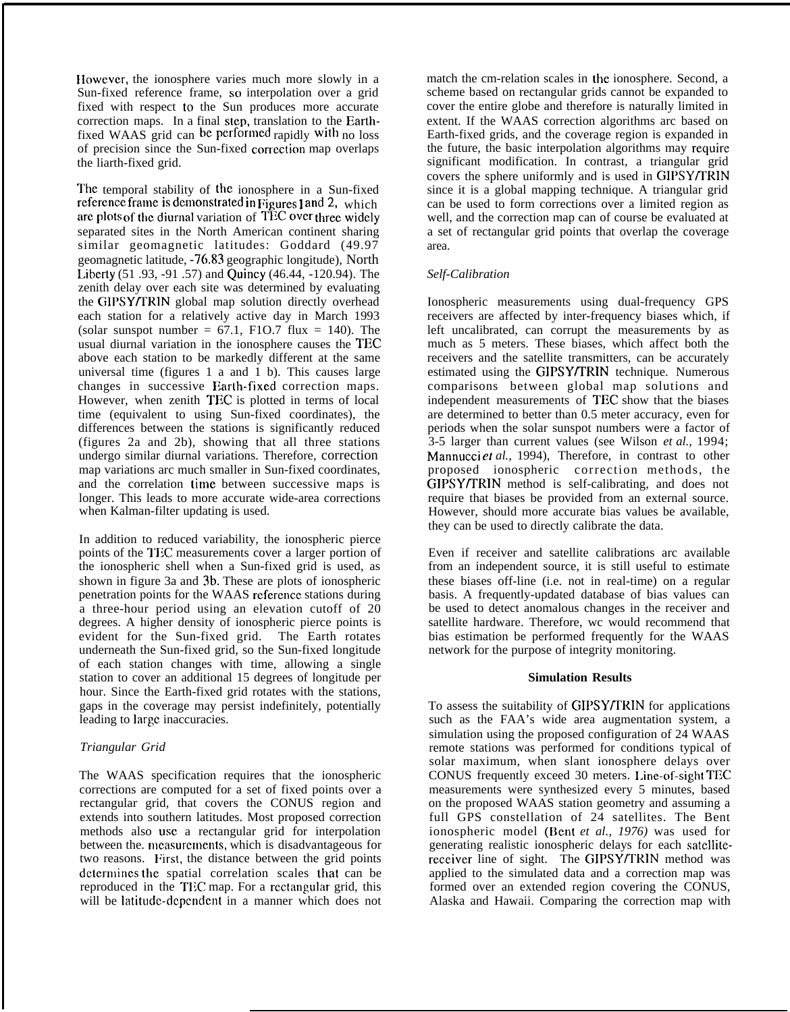IIowcvcr, the ionosphere varies much more slowly in a Sun-fixed reference frame, so interpolation over a grid fixed with respect to the Sun produces more accurate correction maps. In a final step, translation to the Earthfixed WAAS grid can be performed rapidly with no loss of precision since the Sun-fixed correction map overlaps the liarth-fixed grid.

The temporal stability of the ionosphere in a Sun-fixed reference frame is demonstrated in  $Figures 1 and 2$ , which are plots of the diurnal variation of T $\overline{1}$ 3C over three widely separated sites in the North American continent sharing similar geomagnetic latitudes: Goddard (49.97 geomagnetic latitude, -76.83 geographic longitude), North L.ibcrty (51 .93, -91 .57) and Quincy (46.44, -120.94). The zenith delay over each site was determined by evaluating the GIPSY/TRIN global map solution directly overhead each station for a relatively active day in March 1993 (solar sunspot number =  $67.1$ , F1O.7 flux = 140). The usual diurnal variation in the ionosphere causes the TEC above each station to be markedly different at the same universal time (figures 1 a and 1 b). This causes large changes in successive Earth-fixed correction maps. However, when zenith TEC is plotted in terms of local time (equivalent to using Sun-fixed coordinates), the differences between the stations is significantly reduced (figures 2a and 2b), showing that all three stations undergo similar diurnal variations. Therefore, correction map variations arc much smaller in Sun-fixed coordinates, and the correlation time between successive maps is longer. This leads to more accurate wide-area corrections when Kalman-filter updating is used.

In addition to reduced variability, the ionospheric pierce points of the TEC measurements cover a larger portion of the ionospheric shell when a Sun-fixed grid is used, as shown in figure 3a and 3b. These are plots of ionospheric penetration points for the WAAS reference stations during a three-hour period using an elevation cutoff of 20 degrees. A higher density of ionospheric pierce points is evident for the Sun-fixed grid. The Earth rotates underneath the Sun-fixed grid, so the Sun-fixed longitude of each station changes with time, allowing a single station to cover an additional 15 degrees of longitude per hour. Since the Earth-fixed grid rotates with the stations, gaps in the coverage may persist indefinitely, potentially leading to large inaccuracies.

## *Triangular Grid*

The WAAS specification requires that the ionospheric corrections are computed for a set of fixed points over a rectangular grid, that covers the CONUS region and extends into southern latitudes. Most proposed correction methods also use a rectangular grid for interpolation between the. measurements, which is disadvantageous for two reasons. First, the distance between the grid points determines the spatial correlation scales that can be reproduced in the TEC map. For a rectangular grid, this will be Iatitudc-dcpcndcnt in a manner which does not match the cm-relation scales in the ionosphere. Second, a scheme based on rectangular grids cannot be expanded to cover the entire globe and therefore is naturally limited in extent. If the WAAS correction algorithms arc based on Earth-fixed grids, and the coverage region is expanded in the future, the basic interpolation algorithms may require significant modification. In contrast, a triangular grid covers the sphere uniformly and is used in GIPSY/TRIN since it is a global mapping technique. A triangular grid can be used to form corrections over a limited region as well, and the correction map can of course be evaluated at a set of rectangular grid points that overlap the coverage area.

## *Self-Calibration*

Ionospheric measurements using dual-frequency GPS receivers are affected by inter-frequency biases which, if left uncalibrated, can corrupt the measurements by as much as 5 meters. These biases, which affect both the receivers and the satellite transmitters, can be accurately estimated using the GIPSY/TRIN technique. Numerous comparisons between global map solutions and independent measurements of TEC show that the biases are determined to better than 0.5 meter accuracy, even for periods when the solar sunspot numbers were a factor of 3-5 larger than current values (see Wilson *et al.,* 1994; Mannucci et *al.,* 1994), Therefore, in contrast to other proposed ionospheric correction methods, the GIPSY/TRIN method is self-calibrating, and does not require that biases be provided from an external source. However, should more accurate bias values be available, they can be used to directly calibrate the data.

Even if receiver and satellite calibrations arc available from an independent source, it is still useful to estimate these biases off-line (i.e. not in real-time) on a regular basis. A frequently-updated database of bias values can be used to detect anomalous changes in the receiver and satellite hardware. Therefore, wc would recommend that bias estimation be performed frequently for the WAAS network for the purpose of integrity monitoring.

#### **Simulation Results**

To assess the suitability of GIPSY/TRIN for applications such as the FAA's wide area augmentation system, a simulation using the proposed configuration of 24 WAAS remote stations was performed for conditions typical of solar maximum, when slant ionosphere delays over CONUS frequently exceed 30 meters. I.inc-of-sight TEC measurements were synthesized every 5 minutes, based on the proposed WAAS station geometry and assuming a full GPS constellation of 24 satellites. The Bent ionospheric model (Bent et al., 1976) was used for generating realistic ionospheric delays for each satellitereceiver line of sight. The GIPSY/TRIN method was applied to the simulated data and a correction map was formed over an extended region covering the CONUS, Alaska and Hawaii. Comparing the correction map with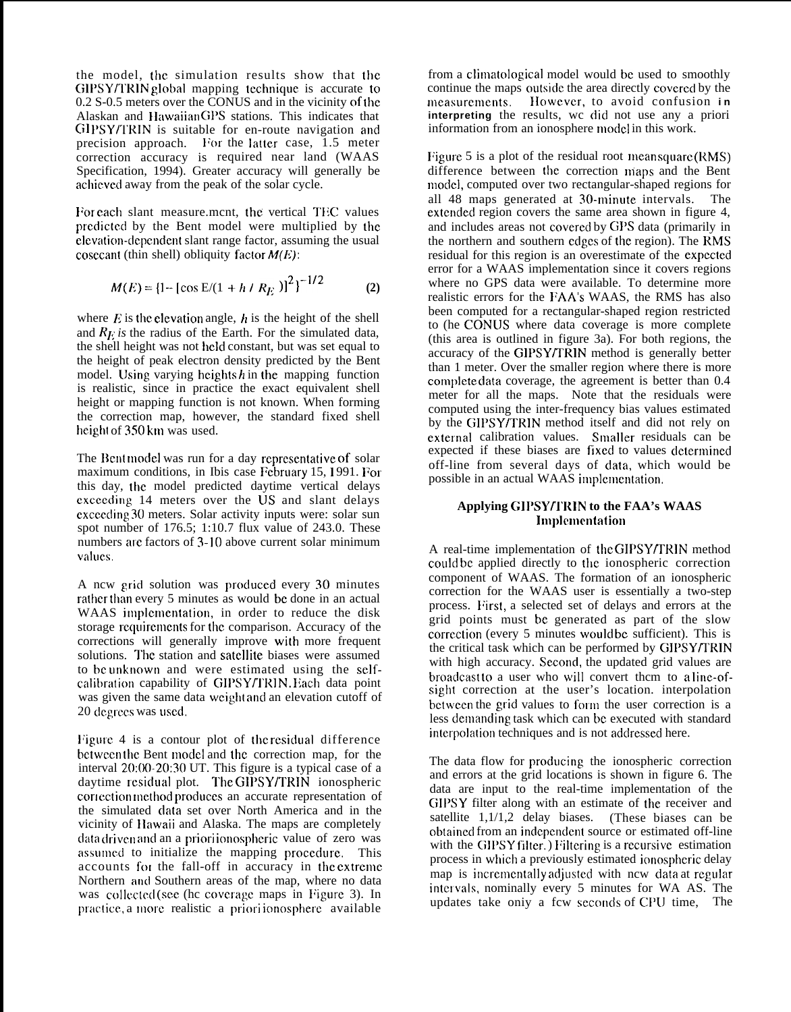the model, the simulation results show that the GIPSY/TRIN global mapping technique is accurate to 0.2 S-0.5 meters over the CONUS and in the vicinity of the Alaskan and Hawaiian GPS stations. This indicates that GIPSY/TRIN is suitable for en-route navigation and precision approach. For the latter case, 1.5 meter correction accuracy is required near land (WAAS Specification, 1994). Greater accuracy will generally be achicvcd away from the peak of the solar cycle.

For each slant measure.mcnt, the vertical TEC values predicted by the Bent model were multiplied by the clevation-dependent slant range factor, assuming the usual cosecant (thin shell) obliquity factor  $M(E)$ :

$$
M(E) = \left\{1 - \left[\cos E/(1 + h / R_E)\right]^2\right\}^{-1/2}
$$
 (2)

where  $E$  is the elevation angle,  $h$  is the height of the shell and  $R_F$  is the radius of the Earth. For the simulated data, the shell height was not held constant, but was set equal to the height of peak electron density predicted by the Bent model. Using varying heights h in the mapping function is realistic, since in practice the exact equivalent shell height or mapping function is not known. When forming the correction map, however, the standard fixed shell height of 350 km was used.

The Bent model was run for a day representative of solar maximum conditions, in Ibis case February 15, 1991. For this day, the model predicted daytime vertical delays exceeding 14 meters over the US and slant delays cxcceding 30 meters. Solar activity inputs were: solar sun spot number of 176.5; 1:10.7 flux value of 243.0. These numbers arc factors of 3-10 above current solar minimum vaiucs,

A ncw grid solution was produced every 30 minutes rather than every 5 minutes as would be done in an actual WAAS implementation, in order to reduce the disk storage requirements for the comparison. Accuracy of the corrections will generally improve with more frequent solutions. The station and satellite biases were assumed to be unknown and were estimated using the selfcalibration capability of GIPSY/TRIN. Each data point was given the same data weight and an elevation cutoff of 20 degrees was used.

Figure 4 is a contour plot of the residual difference bctween the Bent model and the correction map, for the interval 20:00-20:30 UT. This figure is a typical case of a daytime residual plot. The GIPSY/TRIN ionospheric correction method produces an accurate representation of the simulated data set over North America and in the vicinity of llawaii and Alaska. The maps are completely data driven and an a priori ionospheric value of zero was assumed to initialize the mapping procedure. This accounts for the fall-off in accuracy in the extreme Northern and Southern areas of the map, where no data was collected (see the coverage maps in Figure 3). In practice, a more realistic a priori ionosphere available

from a climatological model would be used to smoothly continue the maps outside the area directly covered by the mcasurcmcnts. IIowcvcr, to avoid confusion **i n** interpreting the results, wc did not use any a priori information from an ionosphere model in this work.

Figure 5 is a plot of the residual root mean square  $(KMS)$ difference between the correction maps and the Bent model, computed over two rectangular-shaped regions for all 48 maps generated at 30-minute intervals. The extended region covers the same area shown in figure 4, and includes areas not covered by GPS data (primarily in the northern and southern edges of the region). The RMS residual for this region is an overestimate of the expected error for a WAAS implementation since it covers regions where no GPS data were available. To determine more realistic errors for the FAA's WAAS, the RMS has also been computed for a rectangular-shaped region restricted to (he CONLJS where data coverage is more complete (this area is outlined in figure 3a). For both regions, the accuracy of the GIPSY/TRIN method is generally better than 1 meter. Over the smaller region where there is more complete data coverage, the agreement is better than  $0.4$ meter for all the maps. Note that the residuals were computed using the inter-frequency bias values estimated by the GIPSY/TRIN method itself and did not rely on external calibration values. Smaller residuals can be expected if these biases are fixed to values determined off-line from several days of ciata, which would be possible in an actual WAAS implementation.

# Applying GIPSY/TRIN to the FAA's WAAS Implementation

A real-time implementation of the GIPSY/TRIN method could be applied directly to the ionospheric correction component of WAAS. The formation of an ionospheric correction for the WAAS user is essentially a two-step process. First, a selected set of delays and errors at the grid points must bc generated as part of the slow correction (every 5 minutes would be sufficient). This is the critical task which can be performed by GIPSY/TRIN with high accuracy. Second, the updated grid values are broadcast to a user who will convert them to a line-ofsigbt correction at the user's location. interpolation between the grid values to form the user correction is a less dcrnanciing task which can bc executed with standard interpolation techniques and is not addressed here.

The data flow for producing the ionospheric correction and errors at the grid locations is shown in figure 6. The data are input to the real-time implementation of the GIPSY filter along with an estimate of the receiver and satellite 1,1/1,2 delay biases. (These biases can be obtained from an independent source or estimated off-line with the GIPSY filter. ) Filtering is a recursive estimation process in which a previously estimated ionospheric delay map is incrementally adjusted with new data at regular intervals, nominally every 5 minutes for WA AS. The updates take oniy a fcw seconds of CPU time, The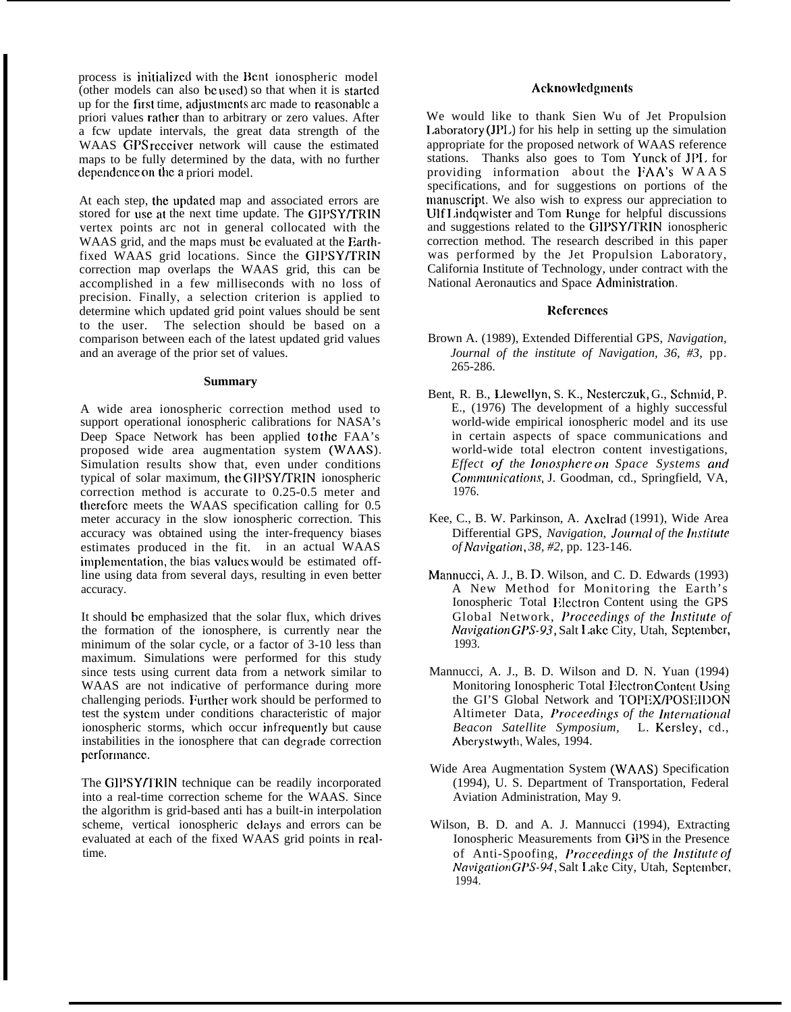process is initialized with the Bent ionospheric model  $\overline{a}$  (other models can also be used) so that when it is started up for the first time, adjustments arc made to reasonable a priori values rather than to arbitrary or zero values. After a fcw update intervals, the great data strength of the WAAS GPS receiver network will cause the estimated maps to be fully determined by the data, with no further dependence on the a priori model.

At each step, the updated map and associated errors are stored for use at the next time update. The GIPSY/TRIN vertex points arc not in general collocated with the WAAS grid, and the maps must be evaluated at the Earthfixed WAAS grid locations. Since the GIPSY/TRIN correction map overlaps the WAAS grid, this can be accomplished in a few milliseconds with no loss of precision. Finally, a selection criterion is applied to determine which updated grid point values should be sent to the user. The selection should be based on a comparison between each of the latest updated grid values and an average of the prior set of values.

#### **Summary**

A wide area ionospheric correction method used to support operational ionospheric calibrations for NASA's Deep Space Network has been applied to the FAA's proposed wide area augmentation system (WAAS). Simulation results show that, even under conditions typical of solar maximum, the Gll'SY/TRIN ionospheric correction method is accurate to 0.25-0.5 meter and tbercforc meets the WAAS specification calling for 0.5 meter accuracy in the slow ionospheric correction. This accuracy was obtained using the inter-frequency biases estimates produced in the fit. in an actual WAAS implementation, the bias values would be estimated offline using data from several days, resulting in even better accuracy.

It should bc emphasized that the solar flux, which drives the formation of the ionosphere, is currently near the minimum of the solar cycle, or a factor of 3-10 less than maximum. Simulations were performed for this study since tests using current data from a network similar to WAAS are not indicative of performance during more challenging periods. Further work should be performed to test the systcm under conditions characteristic of major ionospheric storms, which occur infrequently but cause instabilities in the ionosphere that can degrade correction performance.

The GIPSYffRIN technique can be readily incorporated into a real-time correction scheme for the WAAS. Since the algorithm is grid-based anti has a built-in interpolation scheme, vertical ionospheric delays and errors can be evaluated at each of the fixed WAAS grid points in realtime.

## Acknowledgments

We would like to thank Sien Wu of Jet Propulsion I.aboratory (JPI.) for his help in setting up the simulation appropriate for the proposed network of WAAS reference stations. Thanks also goes to Tom Yunck of JP1. for providing information about the FAA's WAAS specifications, and for suggestions on portions of the manuscript. We also wish to express our appreciation to Ulf 1,indqwister and Tom Runge for helpful discussions and suggestions related to the GIPSY/TRIN ionospheric correction method. The research described in this paper was performed by the Jet Propulsion Laboratory, California Institute of Technology, under contract with the National Aeronautics and Space Administration.

## **Refcrcnccs**

- Brown A. (1989), Extended Differential GPS, *Navigation, Journal of the institute of Navigation, 36, #3,* pp. 265-286.
- Bent, R. B., Llewellyn, S. K., Ncsterczuk, G., Schmid, P. E., (1976) The development of a highly successful world-wide empirical ionospheric model and its use in certain aspects of space communications and world-wide total electron content investigations, *Effect of the lonosphere on Space Systems and Communications, J. Goodman, cd., Springfield, VA,* 1976.
- Kee, C., B. W. Parkinson, A. Axclrad (1991), Wide Area Differential GPS, *Navigation, Journal of the Institute of Navigatiotl, 38, #2,* pp. 123-146.
- Mannucci, A. J., B. D. Wilson, and C. D. Edwards (1993) A New Method for Monitoring the Earth's Ionospheric Total lilcctron Content using the GPS Global Network, *Proceedings of the Institute of Navigation GPS-93, Salt Lake City, Utah, September,* 1993.
- Mannucci, A. J., B. D. Wilson and D. N. Yuan (1994) Monitoring Ionospheric Total Electron Content Using the GI'S Global Network and TOPEX/POSEIl)ON Altimeter Data, *Proceedings of the International Beacon Satellite Symposium,* L. Kersley, cd., Aberystwyth, Wales, 1994.
- Wide Area Augmentation System (WAAS) Specification (1994), U. S. Department of Transportation, Federal Aviation Administration, May 9.
- Wilson, B. D. and A. J. Mannucci (1994), Extracting Ionospheric Measurements from GPS in the Presence of Anti-Spoofing, *Proceedings of the Institute of NavigationGPS-94, Salt Lake City, Utah, September,* 1994.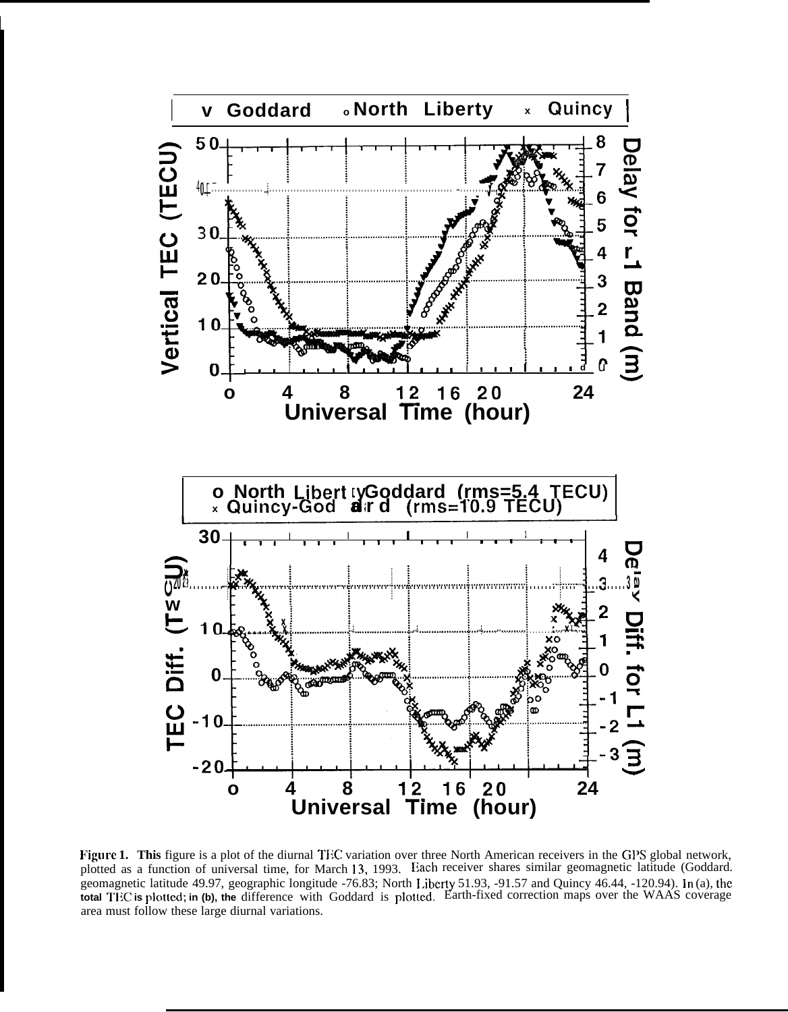

Figure 1. This figure is a plot of the diurnal TEC variation over three North American receivers in the GPS global network, plotted as a function of universal time, for March 13, 1993. Each receiver shares similar geomagnetic latitude (Goddard. geomagnetic latitude 49.97, geographic longitude -76.83; North Liberty 51.93, -91.57 and Quincy 46.44, -120.94). In (a), the total TEC is plotted; in (b), the difference with Goddard is plotted. Earth-fixed correction maps area must follow these large diurnal variations.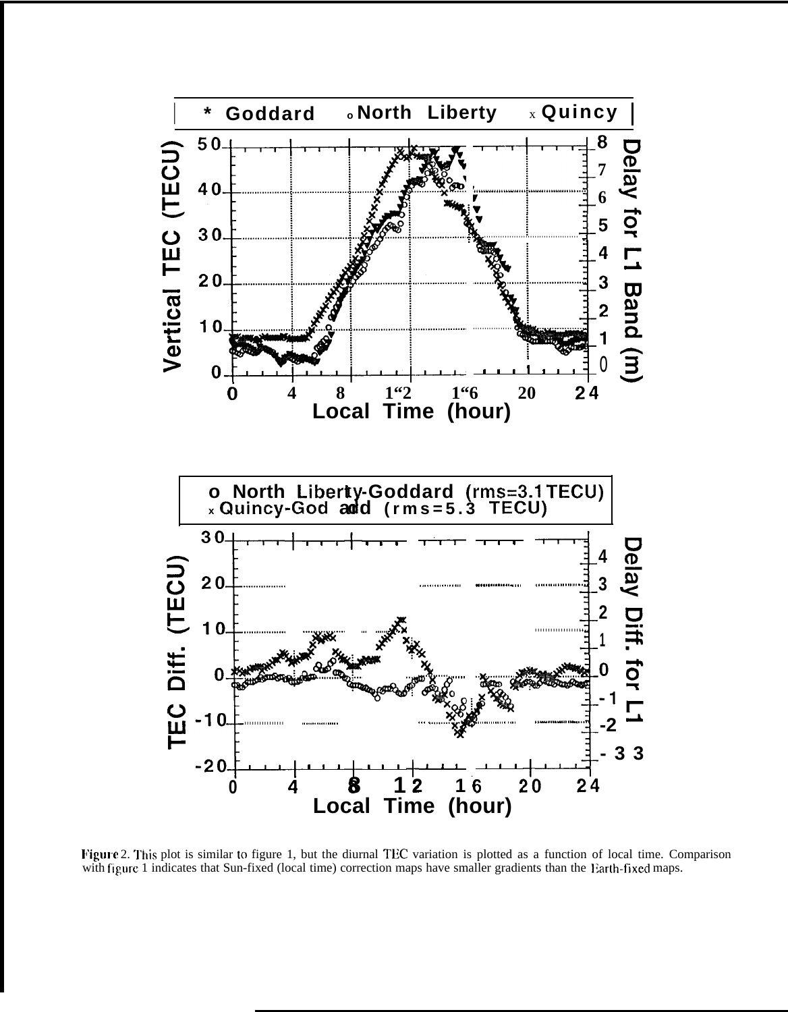

Figure 2. This plot is similar to figure 1, but the diurnal TEC variation is plotted as a function of local time. Comparison with figure 1 indicates that Sun-fixed (local time) correction maps have smaller gradients than the Earth-fixed maps.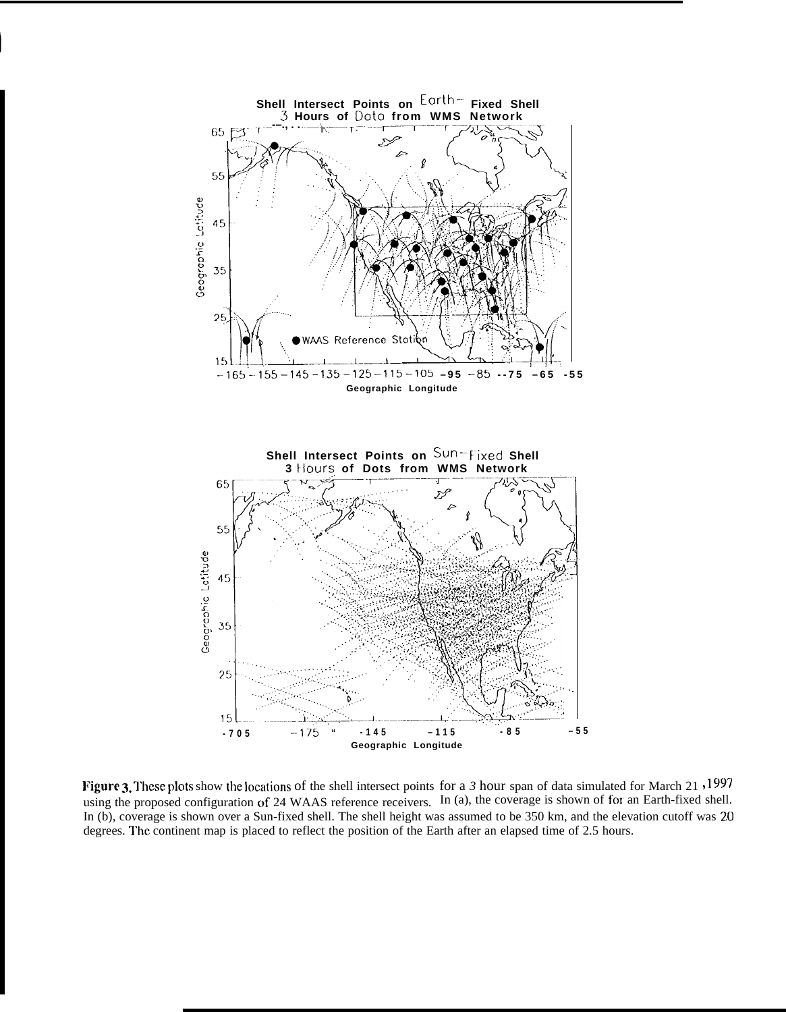

**I**

Figure 3. These plots show the locations of the shell intersect points for a 3 hour span of data simulated for March 21, 1997 using the proposed configuration of 24 WAAS reference receivers. In (a), the coverage is shown of for an Earth-fixed shell. In (b), coverage is shown over a Sun-fixed shell. The shell height was assumed to be 350 km, and the elevation cutoff was 20 degrees. The continent map is placed to reflect the position of the Earth after an elapsed time of 2.5 hours.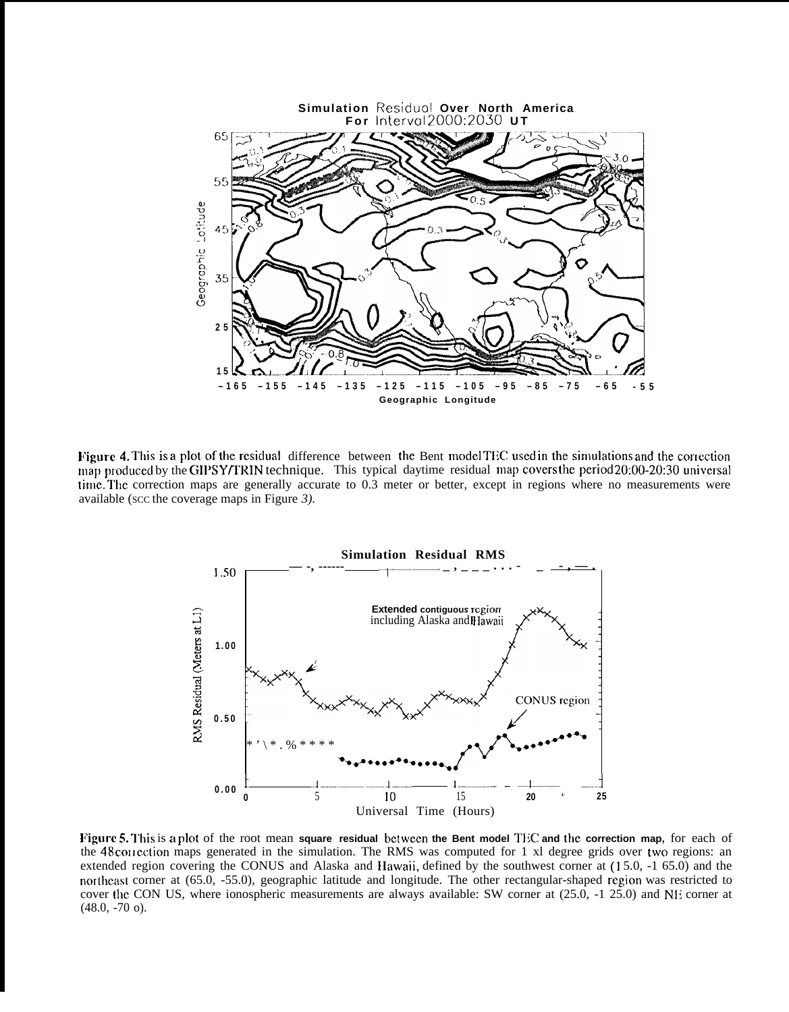

Figure 4. This is a plot of the residual difference between the Bent model TEC used in the simulations and the correction map produced by the GIPSY/TRIN technique. This typical daytime residual map covers the period 20:00-20:30 universal time. The correction maps are generally accurate to 0.3 meter or better, except in regions where no measurements were available (scc the coverage maps in Figure  $3$ ).



Figure 5. This is a plot of the root mean square residual between the Bent model TEC and the correction map, for each of the 48 correction maps generated in the simulation. The RMS was computed for 1 x1 degree grids over two regions: an extended region covering the CONUS and Alaska and Hawaii, defined by the southwest corner at (15.0, -1 65.0) and the northeast corner at (65.0, -55.0), geographic latitude and longitude. The other rectangular-shaped region was restricted to cover the CON US, where ionospheric measurements are always available: SW corner at  $(25.0, -1, 25.0)$  and NE corner at  $(48.0, -70)$ .